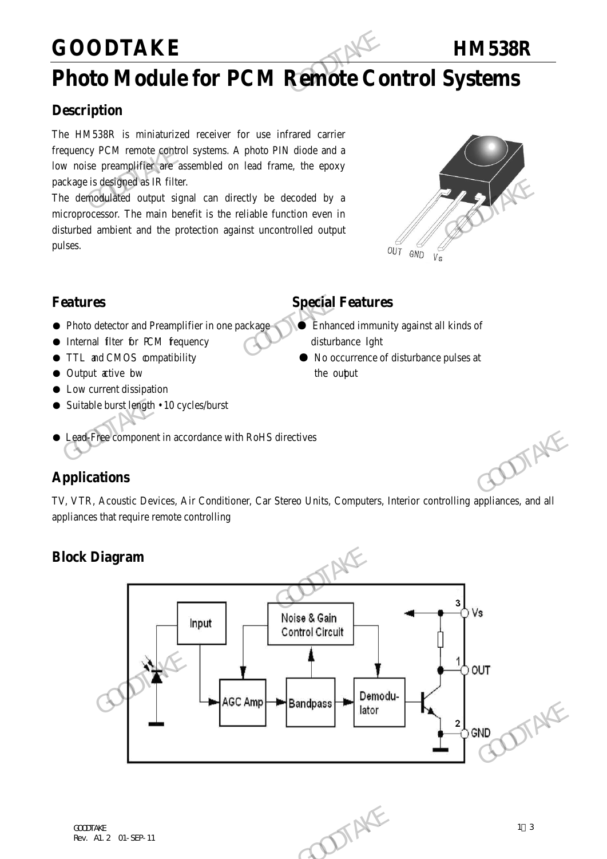### **GOODTAKE HM538R**

### **Photo Module for PCM Remote Control Systems**

### **Description**

The HM538R is miniaturized receiver for use infrared carrier frequency PCM remote control systems. A photo PIN diode and a low noise preamplifier are assembled on lead frame, the epoxy package is designed as IR filter. GOODTAKE<br>
Photo Module for PCM Remote Co.<br>
Description<br>
The HM538R is miniaturized receiver for use infrared carrier<br>
frequency PCM remote control systems. A photo PIN diode and a<br>
low noise preamplifier are assembled on l

The demodulated output signal can directly be decoded by a microprocessor. The main benefit is the reliable function even in disturbed ambient and the protection against uncontrolled output pulses. package is designed as IR filter.<br>
The derived alled to outer signal can directly be decoded by a<br>
microprocessor. The main benefit is the reliable function even in<br>
disturbed ambient and the protection against uncontroll



- Photo detector and Preamplifier in one package  **Enhanced immunity against all kinds of**
- Internal filter for PCM fequency disturbance light
- 
- Output active bw the output
- Low current dissipation
- Suitable burst length 10 cycles/burst

### **Features Special Features**

- 
- TTL and CMOS compatibility No occurrence of disturbance pulses at
- Lead-Free component in accordance with RoHS directives

### **Applications**

TV, VTR, Acoustic Devices, Air Conditioner, Car Stereo Units, Computers, Interior controlling appliances, and all appliances that require remote controlling

### **Block Diagram**

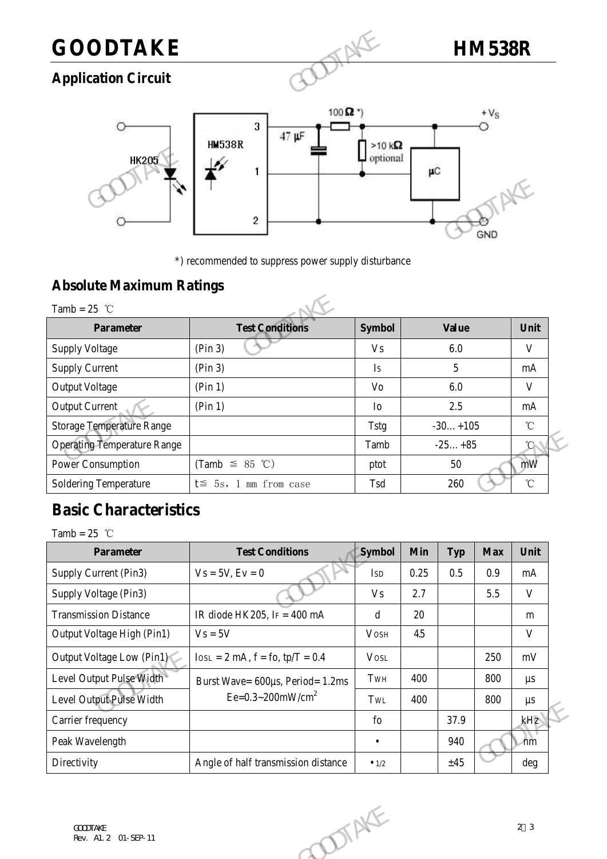## **GOODTAKE HM538R**

### **Application Circuit**



\*) recommended to suppress power supply disturbance

### **Absolute Maximum Ratings**

|                                                                                        | 2                            |                | GND          |              |  |  |  |  |  |  |  |
|----------------------------------------------------------------------------------------|------------------------------|----------------|--------------|--------------|--|--|--|--|--|--|--|
| *) recommended to suppress power supply disturbance<br><b>Absolute Maximum Ratings</b> |                              |                |              |              |  |  |  |  |  |  |  |
| Tamb = $25$ °C                                                                         |                              |                |              |              |  |  |  |  |  |  |  |
| <b>Parameter</b>                                                                       | <b>Test Conditions</b>       | <b>Symbol</b>  | <b>Value</b> | Unit         |  |  |  |  |  |  |  |
| <b>Supply Voltage</b>                                                                  | (Pin 3)                      | V <sub>s</sub> | 6.0          | V            |  |  |  |  |  |  |  |
| <b>Supply Current</b>                                                                  | (Pin 3)                      | Is             | 5            | mA           |  |  |  |  |  |  |  |
| <b>Output Voltage</b>                                                                  | (Pin 1)                      | Vo             | 6.0          | V            |  |  |  |  |  |  |  |
| <b>Output Current</b>                                                                  | (Pin 1)                      | Io             | 2.5          | mA           |  |  |  |  |  |  |  |
| <b>Storage Temperature Range</b>                                                       |                              | <b>Tstg</b>    | $-30+105$    | $^{\circ}$ C |  |  |  |  |  |  |  |
| <b>Operating Temperature Range</b>                                                     |                              | Tamb           | $-25+85$     | $^{\circ}$ C |  |  |  |  |  |  |  |
| <b>Power Consumption</b>                                                               | (Tamb $\leq$ 85 °C)          | ptot           | 50           | mW           |  |  |  |  |  |  |  |
| <b>Soldering Temperature</b>                                                           | $t \leq 5s$ , 1 mm from case | Tsd            | 260          | $^{\circ}$ C |  |  |  |  |  |  |  |

### **Basic Characteristics**

| $\sim$ $\sim$ $\sim$               |                                       | $\circ$        |            |            |            |                   |
|------------------------------------|---------------------------------------|----------------|------------|------------|------------|-------------------|
| <b>Operating Temperature Range</b> |                                       | Tamb           |            | $-25+85$   |            | $^{\circ}$ C      |
| <b>Power Consumption</b>           | (Tamb $\leq$ 85 °C)                   | ptot           |            | 50         |            | mW                |
| <b>Soldering Temperature</b>       | $t \leq 5s$ , 1 mm from case          | Tsd            |            | 260        |            | $^\circ\!{\rm C}$ |
| <b>Basic Characteristics</b>       |                                       |                |            |            |            |                   |
| Tamb = $25$ °C                     |                                       |                |            |            |            |                   |
| <b>Parameter</b>                   | <b>Test Conditions</b>                | <b>Symbol</b>  | <b>Min</b> | <b>Typ</b> | <b>Max</b> | Unit              |
| Supply Current (Pin3)              | $Vs = 5V, Ev = 0$                     | <b>ISD</b>     | 0.25       | 0.5        | 0.9        | mA                |
| Supply Voltage (Pin3)              |                                       | V <sub>S</sub> | 2.7        |            | 5.5        | $\mathbf V$       |
| <b>Transmission Distance</b>       | IR diode HK205, IF = $400 \text{ mA}$ | $\mathbf d$    | 20         |            |            | m                 |
| Output Voltage High (Pin1)         | $Vs = 5V$                             | <b>VOSH</b>    | 45         |            |            | $\mathbf V$       |
| Output Voltage Low (Pin1)          | $I$ OSL = 2 mA, $f = f$ o, tp/T = 0.4 | <b>VOSL</b>    |            |            | 250        | mV                |
| Level Output Pulse Width           | Burst Wave= 600µs, Period= 1.2ms      | TwH            | 400        |            | 800        | $\mu s$           |
| Level Output Pulse Width           | Ee= $0.3 \sim 200$ mW/cm <sup>2</sup> | TwL            | 400        |            | 800        | $\mu s$           |
| Carrier frequency                  |                                       | $f_{O}$        |            | 37.9       |            | kHz               |
| Peak Wavelength                    |                                       | $\bullet$      |            | 940        |            | ∕nm               |
| Directivity                        | Angle of half transmission distance   | $\bullet$ 1/2  |            | ±45        |            | deg               |